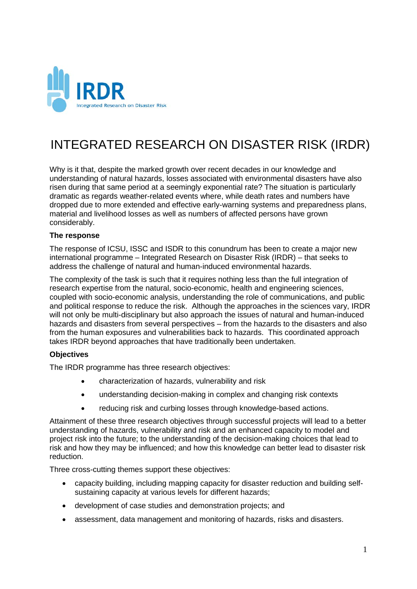

# INTEGRATED RESEARCH ON DISASTER RISK (IRDR)

Why is it that, despite the marked growth over recent decades in our knowledge and understanding of natural hazards, losses associated with environmental disasters have also risen during that same period at a seemingly exponential rate? The situation is particularly dramatic as regards weather-related events where, while death rates and numbers have dropped due to more extended and effective early-warning systems and preparedness plans, material and livelihood losses as well as numbers of affected persons have grown considerably.

#### **The response**

The response of ICSU, ISSC and ISDR to this conundrum has been to create a major new international programme – Integrated Research on Disaster Risk (IRDR) – that seeks to address the challenge of natural and human-induced environmental hazards.

The complexity of the task is such that it requires nothing less than the full integration of research expertise from the natural, socio-economic, health and engineering sciences, coupled with socio-economic analysis, understanding the role of communications, and public and political response to reduce the risk. Although the approaches in the sciences vary, IRDR will not only be multi-disciplinary but also approach the issues of natural and human-induced hazards and disasters from several perspectives – from the hazards to the disasters and also from the human exposures and vulnerabilities back to hazards. This coordinated approach takes IRDR beyond approaches that have traditionally been undertaken.

#### **Objectives**

The IRDR programme has three research objectives:

- characterization of hazards, vulnerability and risk
- understanding decision-making in complex and changing risk contexts
- reducing risk and curbing losses through knowledge-based actions.

Attainment of these three research objectives through successful projects will lead to a better understanding of hazards, vulnerability and risk and an enhanced capacity to model and project risk into the future; to the understanding of the decision-making choices that lead to risk and how they may be influenced; and how this knowledge can better lead to disaster risk reduction.

Three cross-cutting themes support these objectives:

- capacity building, including mapping capacity for disaster reduction and building selfsustaining capacity at various levels for different hazards;
- development of case studies and demonstration projects; and
- assessment, data management and monitoring of hazards, risks and disasters.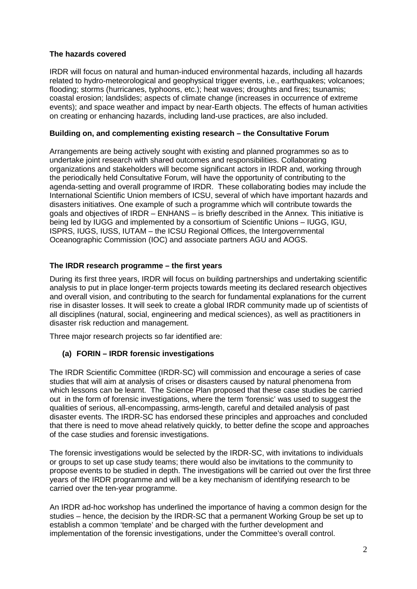## **The hazards covered**

IRDR will focus on natural and human-induced environmental hazards, including all hazards related to hydro-meteorological and geophysical trigger events, i.e., earthquakes; volcanoes; flooding; storms (hurricanes, typhoons, etc.); heat waves; droughts and fires; tsunamis; coastal erosion; landslides; aspects of climate change (increases in occurrence of extreme events); and space weather and impact by near-Earth objects. The effects of human activities on creating or enhancing hazards, including land-use practices, are also included.

### **Building on, and complementing existing research – the Consultative Forum**

Arrangements are being actively sought with existing and planned programmes so as to undertake joint research with shared outcomes and responsibilities. Collaborating organizations and stakeholders will become significant actors in IRDR and, working through the periodically held Consultative Forum, will have the opportunity of contributing to the agenda-setting and overall programme of IRDR. These collaborating bodies may include the International Scientific Union members of ICSU, several of which have important hazards and disasters initiatives. One example of such a programme which will contribute towards the goals and objectives of IRDR – ENHANS – is briefly described in the Annex. This initiative is being led by IUGG and implemented by a consortium of Scientific Unions – IUGG, IGU, ISPRS, IUGS, IUSS, IUTAM – the ICSU Regional Offices, the Intergovernmental Oceanographic Commission (IOC) and associate partners AGU and AOGS.

# **The IRDR research programme – the first years**

During its first three years, IRDR will focus on building partnerships and undertaking scientific analysis to put in place longer-term projects towards meeting its declared research objectives and overall vision, and contributing to the search for fundamental explanations for the current rise in disaster losses. It will seek to create a global IRDR community made up of scientists of all disciplines (natural, social, engineering and medical sciences), as well as practitioners in disaster risk reduction and management.

Three major research projects so far identified are:

# **(a) FORIN – IRDR forensic investigations**

The IRDR Scientific Committee (IRDR-SC) will commission and encourage a series of case studies that will aim at analysis of crises or disasters caused by natural phenomena from which lessons can be learnt. The Science Plan proposed that these case studies be carried out in the form of forensic investigations, where the term 'forensic' was used to suggest the qualities of serious, all-encompassing, arms-length, careful and detailed analysis of past disaster events. The IRDR-SC has endorsed these principles and approaches and concluded that there is need to move ahead relatively quickly, to better define the scope and approaches of the case studies and forensic investigations.

The forensic investigations would be selected by the IRDR-SC, with invitations to individuals or groups to set up case study teams; there would also be invitations to the community to propose events to be studied in depth. The investigations will be carried out over the first three years of the IRDR programme and will be a key mechanism of identifying research to be carried over the ten-year programme.

An IRDR ad-hoc workshop has underlined the importance of having a common design for the studies – hence, the decision by the IRDR-SC that a permanent Working Group be set up to establish a common 'template' and be charged with the further development and implementation of the forensic investigations, under the Committee's overall control.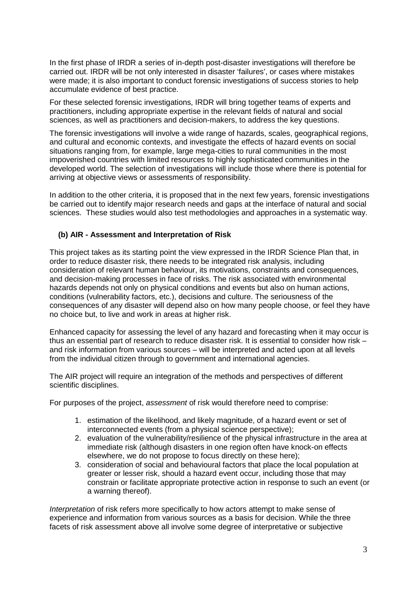In the first phase of IRDR a series of in-depth post-disaster investigations will therefore be carried out. IRDR will be not only interested in disaster 'failures', or cases where mistakes were made; it is also important to conduct forensic investigations of success stories to help accumulate evidence of best practice.

For these selected forensic investigations, IRDR will bring together teams of experts and practitioners, including appropriate expertise in the relevant fields of natural and social sciences, as well as practitioners and decision-makers, to address the key questions.

The forensic investigations will involve a wide range of hazards, scales, geographical regions, and cultural and economic contexts, and investigate the effects of hazard events on social situations ranging from, for example, large mega-cities to rural communities in the most impoverished countries with limited resources to highly sophisticated communities in the developed world. The selection of investigations will include those where there is potential for arriving at objective views or assessments of responsibility.

In addition to the other criteria, it is proposed that in the next few years, forensic investigations be carried out to identify major research needs and gaps at the interface of natural and social sciences. These studies would also test methodologies and approaches in a systematic way.

### **(b) AIR - Assessment and Interpretation of Risk**

This project takes as its starting point the view expressed in the IRDR Science Plan that, in order to reduce disaster risk, there needs to be integrated risk analysis, including consideration of relevant human behaviour, its motivations, constraints and consequences, and decision-making processes in face of risks. The risk associated with environmental hazards depends not only on physical conditions and events but also on human actions, conditions (vulnerability factors, etc.), decisions and culture. The seriousness of the consequences of any disaster will depend also on how many people choose, or feel they have no choice but, to live and work in areas at higher risk.

Enhanced capacity for assessing the level of any hazard and forecasting when it may occur is thus an essential part of research to reduce disaster risk. It is essential to consider how risk – and risk information from various sources – will be interpreted and acted upon at all levels from the individual citizen through to government and international agencies.

The AIR project will require an integration of the methods and perspectives of different scientific disciplines.

For purposes of the project, *assessment* of risk would therefore need to comprise:

- 1. estimation of the likelihood, and likely magnitude, of a hazard event or set of interconnected events (from a physical science perspective);
- 2. evaluation of the vulnerability/resilience of the physical infrastructure in the area at immediate risk (although disasters in one region often have knock-on effects elsewhere, we do not propose to focus directly on these here);
- 3. consideration of social and behavioural factors that place the local population at greater or lesser risk, should a hazard event occur, including those that may constrain or facilitate appropriate protective action in response to such an event (or a warning thereof).

*Interpretation* of risk refers more specifically to how actors attempt to make sense of experience and information from various sources as a basis for decision. While the three facets of risk assessment above all involve some degree of interpretative or subjective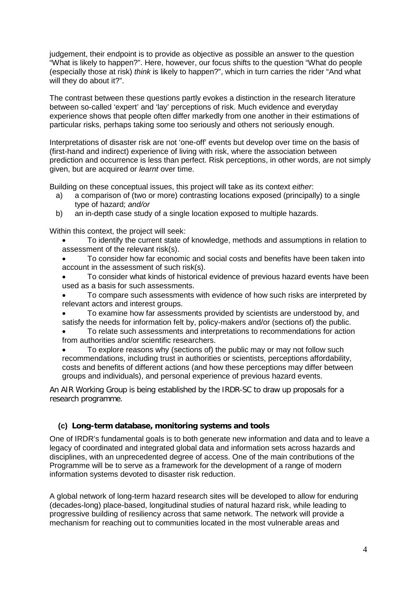judgement, their endpoint is to provide as objective as possible an answer to the question "What is likely to happen?". Here, however, our focus shifts to the question "What do people (especially those at risk) *think* is likely to happen?", which in turn carries the rider "And what will they do about it?".

The contrast between these questions partly evokes a distinction in the research literature between so-called 'expert' and 'lay' perceptions of risk. Much evidence and everyday experience shows that people often differ markedly from one another in their estimations of particular risks, perhaps taking some too seriously and others not seriously enough.

Interpretations of disaster risk are not 'one-off' events but develop over time on the basis of (first-hand and indirect) experience of living with risk, where the association between prediction and occurrence is less than perfect. Risk perceptions, in other words, are not simply given, but are acquired or *learnt* over time.

Building on these conceptual issues, this project will take as its context *either*:

- a) a comparison of (two or more) contrasting locations exposed (principally) to a single type of hazard; *and/or*
- b) an in-depth case study of a single location exposed to multiple hazards.

Within this context, the project will seek:

- To identify the current state of knowledge, methods and assumptions in relation to assessment of the relevant risk(s).
- To consider how far economic and social costs and benefits have been taken into account in the assessment of such risk(s).
- To consider what kinds of historical evidence of previous hazard events have been used as a basis for such assessments.
- To compare such assessments with evidence of how such risks are interpreted by relevant actors and interest groups.
- To examine how far assessments provided by scientists are understood by, and satisfy the needs for information felt by, policy-makers and/or (sections of) the public.
- To relate such assessments and interpretations to recommendations for action from authorities and/or scientific researchers.
- To explore reasons why (sections of) the public may or may not follow such recommendations, including trust in authorities or scientists, perceptions affordability, costs and benefits of different actions (and how these perceptions may differ between groups and individuals), and personal experience of previous hazard events.

An AIR Working Group is being established by the IRDR-SC to draw up proposals for a research programme.

# **(c) Long-term database, monitoring systems and tools**

One of IRDR's fundamental goals is to both generate new information and data and to leave a legacy of coordinated and integrated global data and information sets across hazards and disciplines, with an unprecedented degree of access. One of the main contributions of the Programme will be to serve as a framework for the development of a range of modern information systems devoted to disaster risk reduction.

A global network of long-term hazard research sites will be developed to allow for enduring (decades-long) place-based, longitudinal studies of natural hazard risk, while leading to progressive building of resiliency across that same network. The network will provide a mechanism for reaching out to communities located in the most vulnerable areas and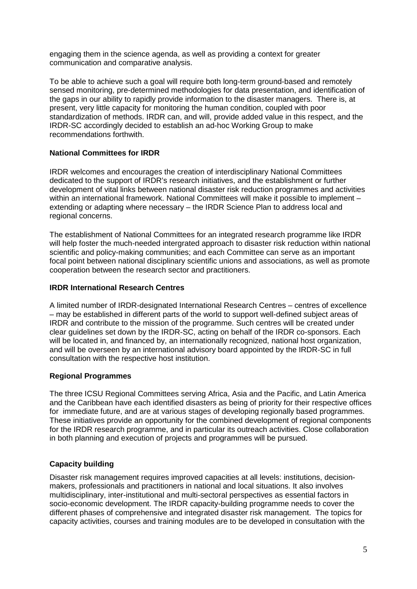engaging them in the science agenda, as well as providing a context for greater communication and comparative analysis.

To be able to achieve such a goal will require both long-term ground-based and remotely sensed monitoring, pre-determined methodologies for data presentation, and identification of the gaps in our ability to rapidly provide information to the disaster managers. There is, at present, very little capacity for monitoring the human condition, coupled with poor standardization of methods. IRDR can, and will, provide added value in this respect, and the IRDR-SC accordingly decided to establish an ad-hoc Working Group to make recommendations forthwith.

### **National Committees for IRDR**

IRDR welcomes and encourages the creation of interdisciplinary National Committees dedicated to the support of IRDR's research initiatives, and the establishment or further development of vital links between national disaster risk reduction programmes and activities within an international framework. National Committees will make it possible to implement – extending or adapting where necessary – the IRDR Science Plan to address local and regional concerns.

The establishment of National Committees for an integrated research programme like IRDR will help foster the much-needed intergrated approach to disaster risk reduction within national scientific and policy-making communities; and each Committee can serve as an important focal point between national disciplinary scientific unions and associations, as well as promote cooperation between the research sector and practitioners.

#### **IRDR International Research Centres**

A limited number of IRDR-designated International Research Centres – centres of excellence – may be established in different parts of the world to support well-defined subject areas of IRDR and contribute to the mission of the programme. Such centres will be created under clear guidelines set down by the IRDR-SC, acting on behalf of the IRDR co-sponsors. Each will be located in, and financed by, an internationally recognized, national host organization, and will be overseen by an international advisory board appointed by the IRDR-SC in full consultation with the respective host institution.

# **Regional Programmes**

The three ICSU Regional Committees serving Africa, Asia and the Pacific, and Latin America and the Caribbean have each identified disasters as being of priority for their respective offices for immediate future, and are at various stages of developing regionally based programmes. These initiatives provide an opportunity for the combined development of regional components for the IRDR research programme, and in particular its outreach activities. Close collaboration in both planning and execution of projects and programmes will be pursued.

# **Capacity building**

Disaster risk management requires improved capacities at all levels: institutions, decisionmakers, professionals and practitioners in national and local situations. It also involves multidisciplinary, inter-institutional and multi-sectoral perspectives as essential factors in socio-economic development. The IRDR capacity-building programme needs to cover the different phases of comprehensive and integrated disaster risk management. The topics for capacity activities, courses and training modules are to be developed in consultation with the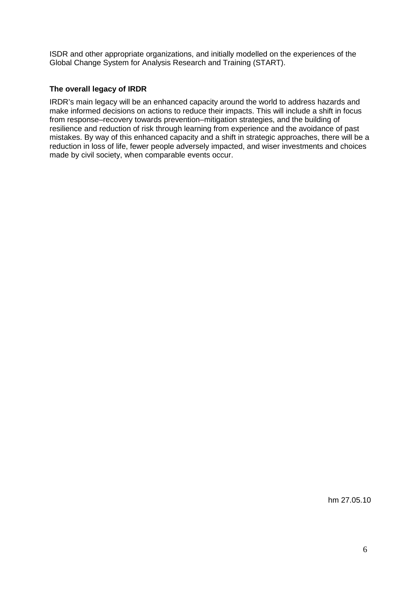ISDR and other appropriate organizations, and initially modelled on the experiences of the Global Change System for Analysis Research and Training (START).

## **The overall legacy of IRDR**

IRDR's main legacy will be an enhanced capacity around the world to address hazards and make informed decisions on actions to reduce their impacts. This will include a shift in focus from response–recovery towards prevention–mitigation strategies, and the building of resilience and reduction of risk through learning from experience and the avoidance of past mistakes. By way of this enhanced capacity and a shift in strategic approaches, there will be a reduction in loss of life, fewer people adversely impacted, and wiser investments and choices made by civil society, when comparable events occur.

hm 27.05.10